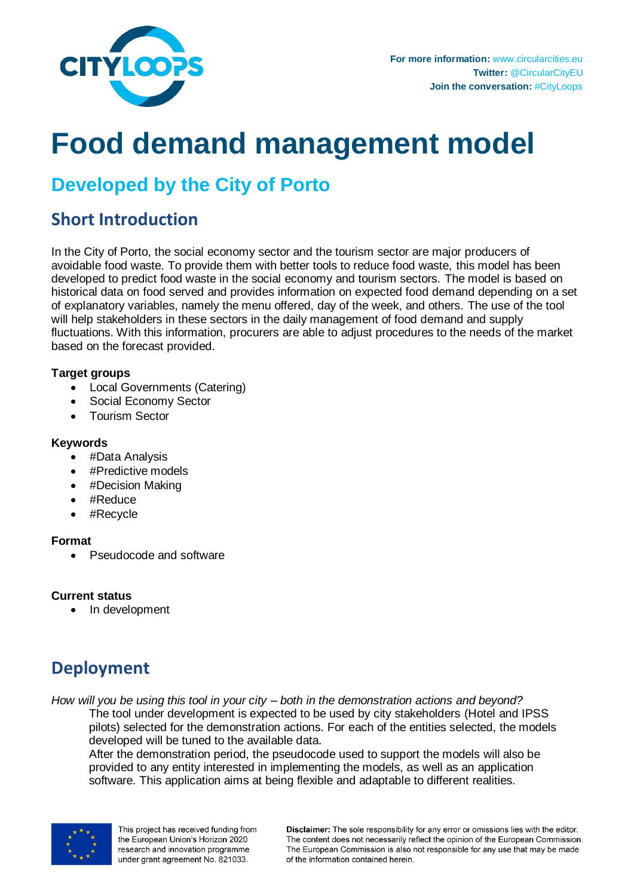

# **Food demand management model**

# **Developed by the City of Porto**

### **Short Introduction**

In the City of Porto, the social economy sector and the tourism sector are major producers of avoidable food waste. To provide them with better tools to reduce food waste, this model has been developed to predict food waste in the social economy and tourism sectors. The model is based on historical data on food served and provides information on expected food demand depending on a set of explanatory variables, namely the menu offered, day of the week, and others. The use of the tool will help stakeholders in these sectors in the daily management of food demand and supply fluctuations. With this information, procurers are able to adjust procedures to the needs of the market based on the forecast provided.

#### **Target groups**

- Local Governments (Catering)
- Social Economy Sector
- Tourism Sector

#### **Keywords**

- #Data Analysis
- #Predictive models
- #Decision Making
- #Reduce
- #Recycle

#### **Format**

• Pseudocode and software

#### **Current status**

• In development

# **Deployment**

*How will you be using this tool in your city – both in the demonstration actions and beyond?* The tool under development is expected to be used by city stakeholders (Hotel and IPSS pilots) selected for the demonstration actions. For each of the entities selected, the models developed will be tuned to the available data.

After the demonstration period, the pseudocode used to support the models will also be provided to any entity interested in implementing the models, as well as an application software. This application aims at being flexible and adaptable to different realities.



This project has received funding from the European Union's Horizon 2020 research and innovation programme under grant agreement No. 821033.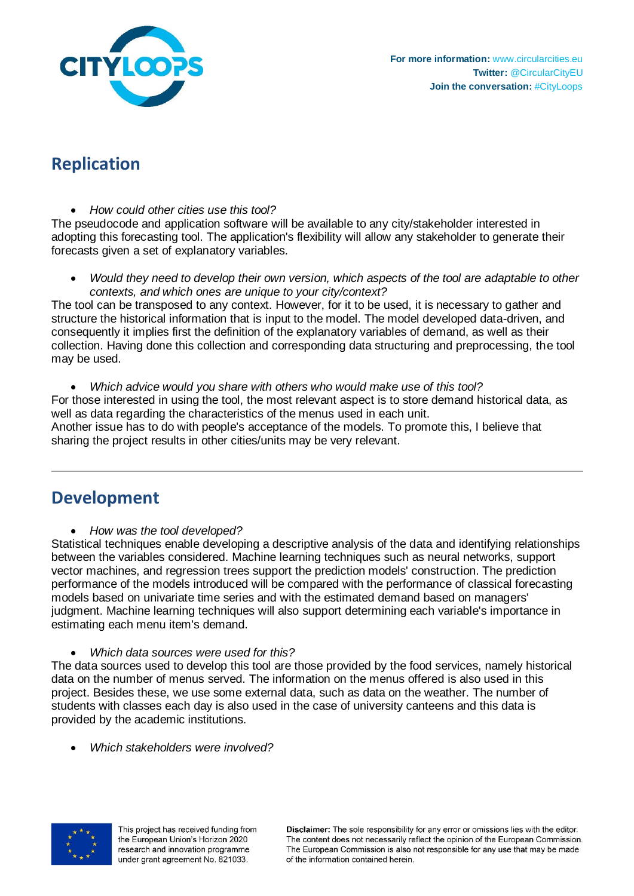

# **Replication**

*How could other cities use this tool?*

The pseudocode and application software will be available to any city/stakeholder interested in adopting this forecasting tool. The application's flexibility will allow any stakeholder to generate their forecasts given a set of explanatory variables.

 *Would they need to develop their own version, which aspects of the tool are adaptable to other contexts, and which ones are unique to your city/context?*

The tool can be transposed to any context. However, for it to be used, it is necessary to gather and structure the historical information that is input to the model. The model developed data-driven, and consequently it implies first the definition of the explanatory variables of demand, as well as their collection. Having done this collection and corresponding data structuring and preprocessing, the tool may be used.

 *Which advice would you share with others who would make use of this tool?* For those interested in using the tool, the most relevant aspect is to store demand historical data, as well as data regarding the characteristics of the menus used in each unit. Another issue has to do with people's acceptance of the models. To promote this, I believe that sharing the project results in other cities/units may be very relevant.

# **Development**

*How was the tool developed?* 

Statistical techniques enable developing a descriptive analysis of the data and identifying relationships between the variables considered. Machine learning techniques such as neural networks, support vector machines, and regression trees support the prediction models' construction. The prediction performance of the models introduced will be compared with the performance of classical forecasting models based on univariate time series and with the estimated demand based on managers' judgment. Machine learning techniques will also support determining each variable's importance in estimating each menu item's demand.

*Which data sources were used for this?* 

The data sources used to develop this tool are those provided by the food services, namely historical data on the number of menus served. The information on the menus offered is also used in this project. Besides these, we use some external data, such as data on the weather. The number of students with classes each day is also used in the case of university canteens and this data is provided by the academic institutions.

*Which stakeholders were involved?* 



This project has received funding from the European Union's Horizon 2020 research and innovation programme under grant agreement No. 821033.